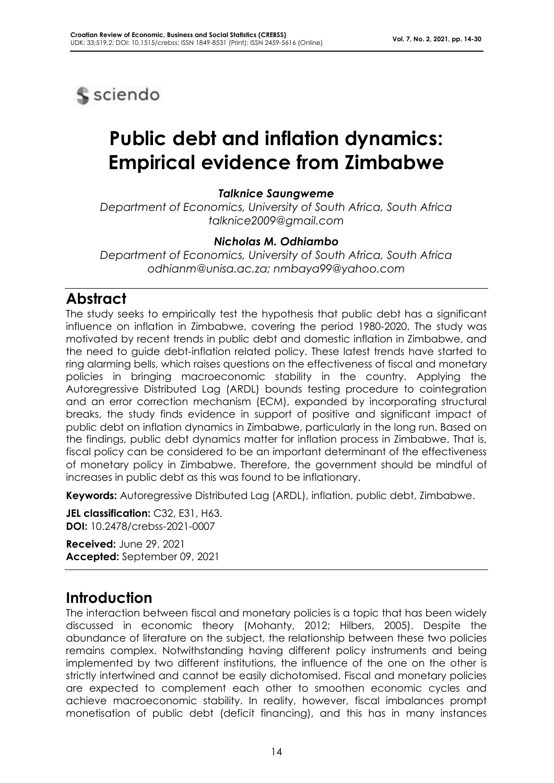

# **Public debt and inflation dynamics: Empirical evidence from Zimbabwe**

### *Talknice Saungweme*

*Department of Economics, University of South Africa, South Africa talknice2009@gmail.com*

### *Nicholas M. Odhiambo*

*Department of Economics, University of South Africa, South Africa odhianm@unisa.ac.za; nmbaya99@yahoo.com*

## **Abstract**

The study seeks to empirically test the hypothesis that public debt has a significant influence on inflation in Zimbabwe, covering the period 1980-2020. The study was motivated by recent trends in public debt and domestic inflation in Zimbabwe, and the need to guide debt-inflation related policy. These latest trends have started to ring alarming bells, which raises questions on the effectiveness of fiscal and monetary policies in bringing macroeconomic stability in the country. Applying the Autoregressive Distributed Lag (ARDL) bounds testing procedure to cointegration and an error correction mechanism (ECM), expanded by incorporating structural breaks, the study finds evidence in support of positive and significant impact of public debt on inflation dynamics in Zimbabwe, particularly in the long run. Based on the findings, public debt dynamics matter for inflation process in Zimbabwe. That is, fiscal policy can be considered to be an important determinant of the effectiveness of monetary policy in Zimbabwe. Therefore, the government should be mindful of increases in public debt as this was found to be inflationary.

**Keywords:** Autoregressive Distributed Lag (ARDL), inflation, public debt, Zimbabwe.

**JEL classification:** C32, E31, H63. **DOI:** 10.2478/crebss-2021-0007

**Received:** June 29, 2021 **Accepted:** September 09, 2021

## **Introduction**

The interaction between fiscal and monetary policies is a topic that has been widely discussed in economic theory (Mohanty, 2012; Hilbers, 2005). Despite the abundance of literature on the subject, the relationship between these two policies remains complex. Notwithstanding having different policy instruments and being implemented by two different institutions, the influence of the one on the other is strictly intertwined and cannot be easily dichotomised. Fiscal and monetary policies are expected to complement each other to smoothen economic cycles and achieve macroeconomic stability. In reality, however, fiscal imbalances prompt monetisation of public debt (deficit financing), and this has in many instances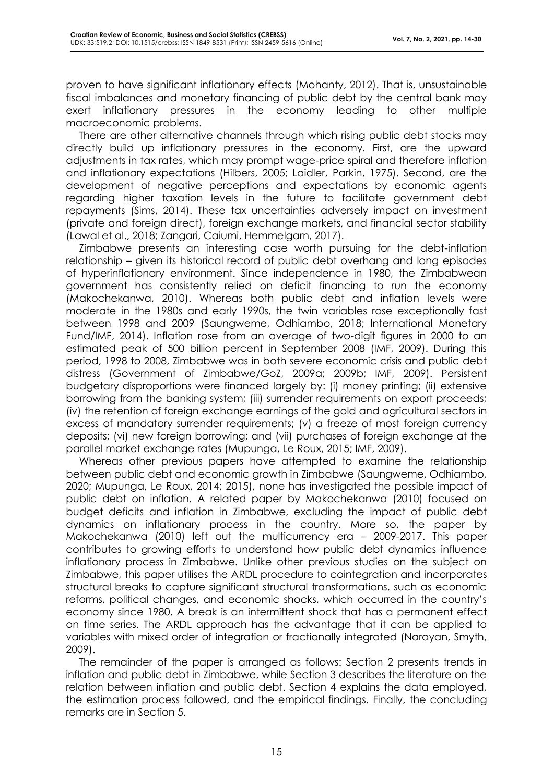proven to have significant inflationary effects (Mohanty, 2012). That is, unsustainable fiscal imbalances and monetary financing of public debt by the central bank may exert inflationary pressures in the economy leading to other multiple macroeconomic problems.

There are other alternative channels through which rising public debt stocks may directly build up inflationary pressures in the economy. First, are the upward adjustments in tax rates, which may prompt wage-price spiral and therefore inflation and inflationary expectations (Hilbers, 2005; Laidler, Parkin, 1975). Second, are the development of negative perceptions and expectations by economic agents regarding higher taxation levels in the future to facilitate government debt repayments (Sims, 2014). These tax uncertainties adversely impact on investment (private and foreign direct), foreign exchange markets, and financial sector stability (Lawal et al., 2018; Zangari, Caiumi, Hemmelgarn, 2017).

Zimbabwe presents an interesting case worth pursuing for the debt-inflation relationship – given its historical record of public debt overhang and long episodes of hyperinflationary environment. Since independence in 1980, the Zimbabwean government has consistently relied on deficit financing to run the economy (Makochekanwa, 2010). Whereas both public debt and inflation levels were moderate in the 1980s and early 1990s, the twin variables rose exceptionally fast between 1998 and 2009 (Saungweme, Odhiambo, 2018; International Monetary Fund/IMF, 2014). Inflation rose from an average of two-digit figures in 2000 to an estimated peak of 500 billion percent in September 2008 (IMF, 2009). During this period, 1998 to 2008, Zimbabwe was in both severe economic crisis and public debt distress (Government of Zimbabwe/GoZ, 2009a; 2009b; IMF, 2009). Persistent budgetary disproportions were financed largely by: (i) money printing; (ii) extensive borrowing from the banking system; (iii) surrender requirements on export proceeds; (iv) the retention of foreign exchange earnings of the gold and agricultural sectors in excess of mandatory surrender requirements; (v) a freeze of most foreign currency deposits; (vi) new foreign borrowing; and (vii) purchases of foreign exchange at the parallel market exchange rates (Mupunga, Le Roux, 2015; IMF, 2009).

Whereas other previous papers have attempted to examine the relationship between public debt and economic growth in Zimbabwe (Saungweme, Odhiambo, 2020; Mupunga, Le Roux, 2014; 2015), none has investigated the possible impact of public debt on inflation. A related paper by Makochekanwa (2010) focused on budget deficits and inflation in Zimbabwe, excluding the impact of public debt dynamics on inflationary process in the country. More so, the paper by Makochekanwa (2010) left out the multicurrency era – 2009-2017. This paper contributes to growing efforts to understand how public debt dynamics influence inflationary process in Zimbabwe. Unlike other previous studies on the subject on Zimbabwe, this paper utilises the ARDL procedure to cointegration and incorporates structural breaks to capture significant structural transformations, such as economic reforms, political changes, and economic shocks, which occurred in the country's economy since 1980. A break is an intermittent shock that has a permanent effect on time series. The ARDL approach has the advantage that it can be applied to variables with mixed order of integration or fractionally integrated (Narayan, Smyth, 2009).

The remainder of the paper is arranged as follows: Section 2 presents trends in inflation and public debt in Zimbabwe, while Section 3 describes the literature on the relation between inflation and public debt. Section 4 explains the data employed, the estimation process followed, and the empirical findings. Finally, the concluding remarks are in Section 5.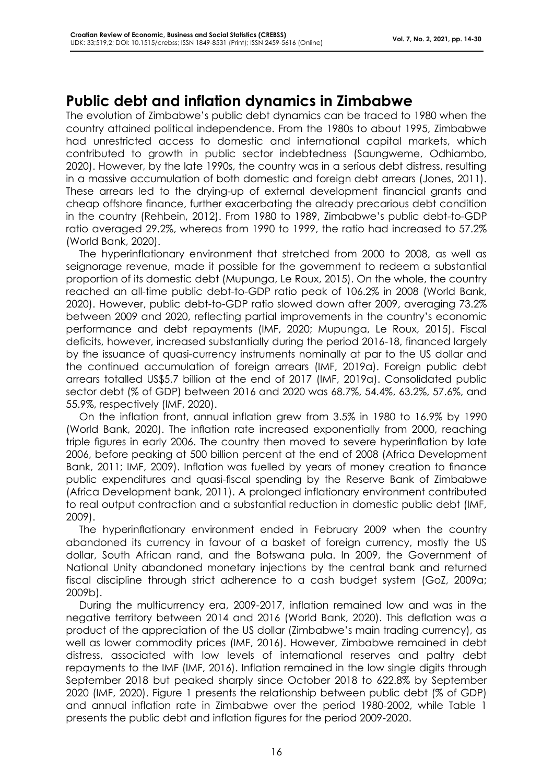## **Public debt and inflation dynamics in Zimbabwe**

The evolution of Zimbabwe's public debt dynamics can be traced to 1980 when the country attained political independence. From the 1980s to about 1995, Zimbabwe had unrestricted access to domestic and international capital markets, which contributed to growth in public sector indebtedness (Saungweme, Odhiambo, 2020). However, by the late 1990s, the country was in a serious debt distress, resulting in a massive accumulation of both domestic and foreign debt arrears (Jones, 2011). These arrears led to the drying-up of external development financial grants and cheap offshore finance, further exacerbating the already precarious debt condition in the country (Rehbein, 2012). From 1980 to 1989, Zimbabwe's public debt-to-GDP ratio averaged 29.2%, whereas from 1990 to 1999, the ratio had increased to 57.2% (World Bank, 2020).

The hyperinflationary environment that stretched from 2000 to 2008, as well as seignorage revenue, made it possible for the government to redeem a substantial proportion of its domestic debt (Mupunga, Le Roux, 2015). On the whole, the country reached an all-time public debt-to-GDP ratio peak of 106.2% in 2008 (World Bank, 2020). However, public debt-to-GDP ratio slowed down after 2009, averaging 73.2% between 2009 and 2020, reflecting partial improvements in the country's economic performance and debt repayments (IMF, 2020; Mupunga, Le Roux, 2015). Fiscal deficits, however, increased substantially during the period 2016-18, financed largely by the issuance of quasi-currency instruments nominally at par to the US dollar and the continued accumulation of foreign arrears (IMF, 2019a). Foreign public debt arrears totalled US\$5.7 billion at the end of 2017 (IMF, 2019a). Consolidated public sector debt (% of GDP) between 2016 and 2020 was 68.7%, 54.4%, 63.2%, 57.6%, and 55.9%, respectively (IMF, 2020).

On the inflation front, annual inflation grew from 3.5% in 1980 to 16.9% by 1990 (World Bank, 2020). The inflation rate increased exponentially from 2000, reaching triple figures in early 2006. The country then moved to severe hyperinflation by late 2006, before peaking at 500 billion percent at the end of 2008 (Africa Development Bank, 2011; IMF, 2009). Inflation was fuelled by years of money creation to finance public expenditures and quasi-fiscal spending by the Reserve Bank of Zimbabwe (Africa Development bank, 2011). A prolonged inflationary environment contributed to real output contraction and a substantial reduction in domestic public debt (IMF, 2009).

The hyperinflationary environment ended in February 2009 when the country abandoned its currency in favour of a basket of foreign currency, mostly the US dollar, South African rand, and the Botswana pula. In 2009, the Government of National Unity abandoned monetary injections by the central bank and returned fiscal discipline through strict adherence to a cash budget system (GoZ, 2009a; 2009b).

During the multicurrency era, 2009-2017, inflation remained low and was in the negative territory between 2014 and 2016 (World Bank, 2020). This deflation was a product of the appreciation of the US dollar (Zimbabwe's main trading currency), as well as lower commodity prices (IMF, 2016). However, Zimbabwe remained in debt distress, associated with low levels of international reserves and paltry debt repayments to the IMF (IMF, 2016). Inflation remained in the low single digits through September 2018 but peaked sharply since October 2018 to 622.8% by September 2020 (IMF, 2020). Figure 1 presents the relationship between public debt (% of GDP) and annual inflation rate in Zimbabwe over the period 1980-2002, while Table 1 presents the public debt and inflation figures for the period 2009-2020.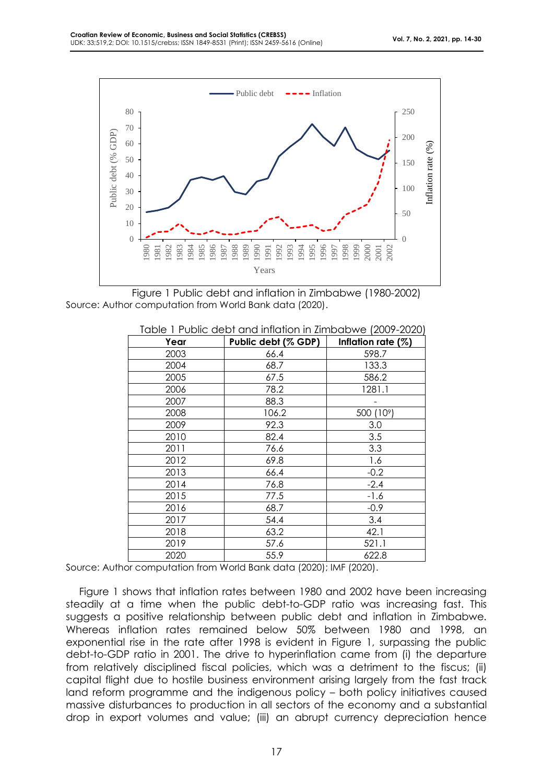

Figure 1 Public debt and inflation in Zimbabwe (1980-2002) Source: Author computation from World Bank data (2020).

| Year | Public debt (% GDP) | Inflation rate (%) |
|------|---------------------|--------------------|
| 2003 | 66.4                | 598.7              |
| 2004 | 68.7                | 133.3              |
| 2005 | 67.5                | 586.2              |
| 2006 | 78.2                | 1281.1             |
| 2007 | 88.3                |                    |
| 2008 | 106.2               | 500 (109)          |
| 2009 | 92.3                | 3.0                |
| 2010 | 82.4                | 3.5                |
| 2011 | 76.6                | 3.3                |
| 2012 | 69.8                | 1.6                |
| 2013 | 66.4                | $-0.2$             |
| 2014 | 76.8                | $-2.4$             |
| 2015 | 77.5                | $-1.6$             |
| 2016 | 68.7                | $-0.9$             |
| 2017 | 54.4                | 3.4                |
| 2018 | 63.2                | 42.1               |
| 2019 | 57.6                | 521.1              |
| 2020 | 55.9                | 622.8              |

Table 1 Public debt and inflation in Zimbabwe (2009-2020)

Source: Author computation from World Bank data (2020); IMF (2020).

Figure 1 shows that inflation rates between 1980 and 2002 have been increasing steadily at a time when the public debt-to-GDP ratio was increasing fast. This suggests a positive relationship between public debt and inflation in Zimbabwe. Whereas inflation rates remained below 50% between 1980 and 1998, an exponential rise in the rate after 1998 is evident in Figure 1, surpassing the public debt-to-GDP ratio in 2001. The drive to hyperinflation came from (i) the departure from relatively disciplined fiscal policies, which was a detriment to the fiscus; (ii) capital flight due to hostile business environment arising largely from the fast track land reform programme and the indigenous policy – both policy initiatives caused massive disturbances to production in all sectors of the economy and a substantial drop in export volumes and value; (iii) an abrupt currency depreciation hence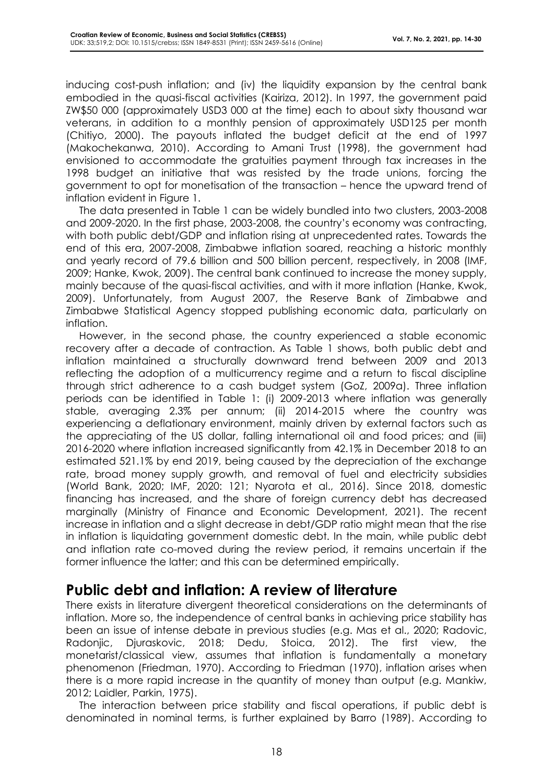inducing cost-push inflation; and (iv) the liquidity expansion by the central bank embodied in the quasi-fiscal activities (Kairiza, 2012). In 1997, the government paid ZW\$50 000 (approximately USD3 000 at the time) each to about sixty thousand war veterans, in addition to a monthly pension of approximately USD125 per month (Chitiyo, 2000). The payouts inflated the budget deficit at the end of 1997 (Makochekanwa, 2010). According to Amani Trust (1998), the government had envisioned to accommodate the gratuities payment through tax increases in the 1998 budget an initiative that was resisted by the trade unions, forcing the government to opt for monetisation of the transaction – hence the upward trend of inflation evident in Figure 1.

The data presented in Table 1 can be widely bundled into two clusters, 2003-2008 and 2009-2020. In the first phase, 2003-2008, the country's economy was contracting, with both public debt/GDP and inflation rising at unprecedented rates. Towards the end of this era, 2007-2008, Zimbabwe inflation soared, reaching a historic monthly and yearly record of 79.6 billion and 500 billion percent, respectively, in 2008 (IMF, 2009; Hanke, Kwok, 2009). The central bank continued to increase the money supply, mainly because of the quasi-fiscal activities, and with it more inflation (Hanke, Kwok, 2009). Unfortunately, from August 2007, the Reserve Bank of Zimbabwe and Zimbabwe Statistical Agency stopped publishing economic data, particularly on inflation.

However, in the second phase, the country experienced a stable economic recovery after a decade of contraction. As Table 1 shows, both public debt and inflation maintained a structurally downward trend between 2009 and 2013 reflecting the adoption of a multicurrency regime and a return to fiscal discipline through strict adherence to a cash budget system (GoZ, 2009a). Three inflation periods can be identified in Table 1: (i) 2009-2013 where inflation was generally stable, averaging 2.3% per annum; (ii) 2014-2015 where the country was experiencing a deflationary environment, mainly driven by external factors such as the appreciating of the US dollar, falling international oil and food prices; and (iii) 2016-2020 where inflation increased significantly from 42.1% in December 2018 to an estimated 521.1% by end 2019, being caused by the depreciation of the exchange rate, broad money supply growth, and removal of fuel and electricity subsidies (World Bank, 2020; IMF, 2020: 121; Nyarota et al., 2016). Since 2018, domestic financing has increased, and the share of foreign currency debt has decreased marginally (Ministry of Finance and Economic Development, 2021). The recent increase in inflation and a slight decrease in debt/GDP ratio might mean that the rise in inflation is liquidating government domestic debt. In the main, while public debt and inflation rate co-moved during the review period, it remains uncertain if the former influence the latter; and this can be determined empirically.

## **Public debt and inflation: A review of literature**

There exists in literature divergent theoretical considerations on the determinants of inflation. More so, the independence of central banks in achieving price stability has been an issue of intense debate in previous studies (e.g. Mas et al., 2020; Radovic, Radonjic, Djuraskovic, 2018; Dedu, Stoica, 2012). The first view, the monetarist/classical view, assumes that inflation is fundamentally a monetary phenomenon (Friedman, 1970). According to Friedman (1970), inflation arises when there is a more rapid increase in the quantity of money than output (e.g. Mankiw, 2012; Laidler, Parkin, 1975).

The interaction between price stability and fiscal operations, if public debt is denominated in nominal terms, is further explained by Barro (1989). According to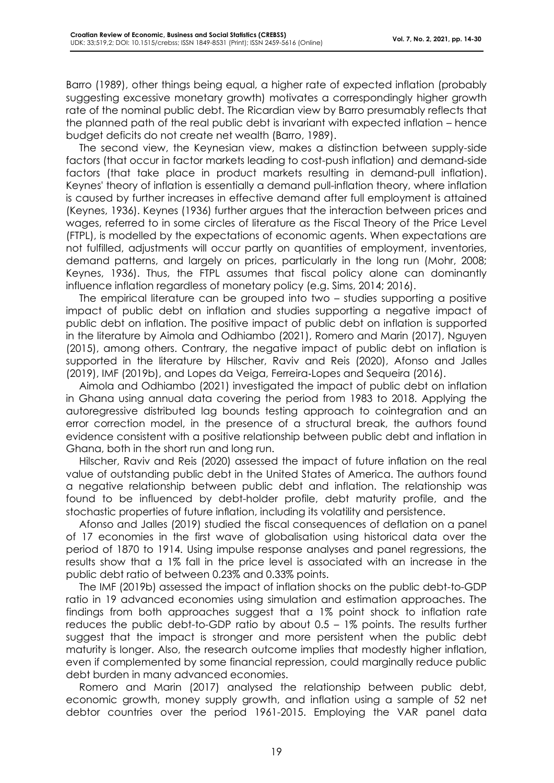Barro (1989), other things being equal, a higher rate of expected inflation (probably suggesting excessive monetary growth) motivates a correspondingly higher growth rate of the nominal public debt. The Ricardian view by Barro presumably reflects that the planned path of the real public debt is invariant with expected inflation – hence budget deficits do not create net wealth (Barro, 1989).

The second view, the Keynesian view, makes a distinction between supply-side factors (that occur in factor markets leading to cost-push inflation) and demand-side factors (that take place in product markets resulting in demand-pull inflation). Keynes' theory of inflation is essentially a demand pull-inflation theory, where inflation is caused by further increases in effective demand after full employment is attained (Keynes, 1936). Keynes (1936) further argues that the interaction between prices and wages, referred to in some circles of literature as the Fiscal Theory of the Price Level (FTPL), is modelled by the expectations of economic agents. When expectations are not fulfilled, adjustments will occur partly on quantities of employment, inventories, demand patterns, and largely on prices, particularly in the long run (Mohr, 2008; Keynes, 1936). Thus, the FTPL assumes that fiscal policy alone can dominantly influence inflation regardless of monetary policy (e.g. Sims, 2014; 2016).

The empirical literature can be grouped into two – studies supporting a positive impact of public debt on inflation and studies supporting a negative impact of public debt on inflation. The positive impact of public debt on inflation is supported in the literature by Aimola and Odhiambo (2021), Romero and Marin (2017), Nguyen (2015), among others. Contrary, the negative impact of public debt on inflation is supported in the literature by Hilscher, Raviv and Reis (2020), Afonso and Jalles (2019), IMF (2019b), and Lopes da Veiga, Ferreira‐Lopes and Sequeira (2016).

Aimola and Odhiambo (2021) investigated the impact of public debt on inflation in Ghana using annual data covering the period from 1983 to 2018. Applying the autoregressive distributed lag bounds testing approach to cointegration and an error correction model, in the presence of a structural break, the authors found evidence consistent with a positive relationship between public debt and inflation in Ghana, both in the short run and long run.

Hilscher, Raviv and Reis (2020) assessed the impact of future inflation on the real value of outstanding public debt in the United States of America. The authors found a negative relationship between public debt and inflation. The relationship was found to be influenced by debt-holder profile, debt maturity profile, and the stochastic properties of future inflation, including its volatility and persistence.

Afonso and Jalles (2019) studied the fiscal consequences of deflation on a panel of 17 economies in the first wave of globalisation using historical data over the period of 1870 to 1914. Using impulse response analyses and panel regressions, the results show that a 1% fall in the price level is associated with an increase in the public debt ratio of between 0.23% and 0.33% points.

The IMF (2019b) assessed the impact of inflation shocks on the public debt-to-GDP ratio in 19 advanced economies using simulation and estimation approaches. The findings from both approaches suggest that a 1% point shock to inflation rate reduces the public debt-to-GDP ratio by about 0.5 – 1% points. The results further suggest that the impact is stronger and more persistent when the public debt maturity is longer. Also, the research outcome implies that modestly higher inflation, even if complemented by some financial repression, could marginally reduce public debt burden in many advanced economies.

Romero and Marin (2017) analysed the relationship between public debt, economic growth, money supply growth, and inflation using a sample of 52 net debtor countries over the period 1961-2015. Employing the VAR panel data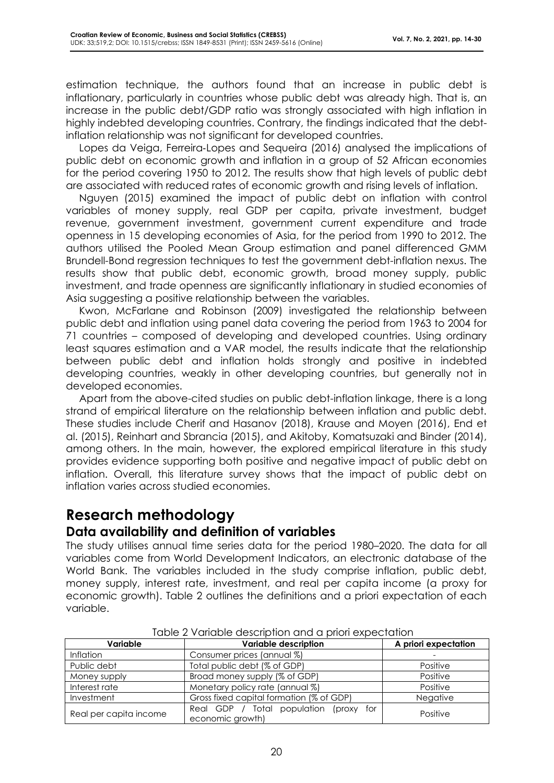estimation technique, the authors found that an increase in public debt is inflationary, particularly in countries whose public debt was already high. That is, an increase in the public debt/GDP ratio was strongly associated with high inflation in highly indebted developing countries. Contrary, the findings indicated that the debtinflation relationship was not significant for developed countries.

Lopes da Veiga, Ferreira‐Lopes and Sequeira (2016) analysed the implications of public debt on economic growth and inflation in a group of 52 African economies for the period covering 1950 to 2012. The results show that high levels of public debt are associated with reduced rates of economic growth and rising levels of inflation.

Nguyen (2015) examined the impact of public debt on inflation with control variables of money supply, real GDP per capita, private investment, budget revenue, government investment, government current expenditure and trade openness in 15 developing economies of Asia, for the period from 1990 to 2012. The authors utilised the Pooled Mean Group estimation and panel differenced GMM Brundell-Bond regression techniques to test the government debt-inflation nexus. The results show that public debt, economic growth, broad money supply, public investment, and trade openness are significantly inflationary in studied economies of Asia suggesting a positive relationship between the variables.

Kwon, McFarlane and Robinson (2009) investigated the relationship between public debt and inflation using panel data covering the period from 1963 to 2004 for 71 countries – composed of developing and developed countries. Using ordinary least squares estimation and a VAR model, the results indicate that the relationship between public debt and inflation holds strongly and positive in indebted developing countries, weakly in other developing countries, but generally not in developed economies.

Apart from the above-cited studies on public debt-inflation linkage, there is a long strand of empirical literature on the relationship between inflation and public debt. These studies include Cherif and Hasanov (2018), Krause and Moyen (2016), End et al. (2015), Reinhart and Sbrancia (2015), and Akitoby, Komatsuzaki and Binder (2014), among others. In the main, however, the explored empirical literature in this study provides evidence supporting both positive and negative impact of public debt on inflation. Overall, this literature survey shows that the impact of public debt on inflation varies across studied economies.

## **Research methodology**

### **Data availability and definition of variables**

The study utilises annual time series data for the period 1980–2020. The data for all variables come from World Development Indicators, an electronic database of the World Bank. The variables included in the study comprise inflation, public debt, money supply, interest rate, investment, and real per capita income (a proxy for economic growth). Table 2 outlines the definitions and a priori expectation of each variable.

| Variable               | <b>Variable description</b>                                   | A priori expectation |
|------------------------|---------------------------------------------------------------|----------------------|
| <b>Inflation</b>       | Consumer prices (annual %)                                    |                      |
| Public debt            | Total public debt (% of GDP)                                  | Positive             |
| Money supply           | Broad money supply (% of GDP)                                 | Positive             |
| Interest rate          | Monetary policy rate (annual %)                               | Positive             |
| Investment             | Gross fixed capital formation (% of GDP)                      | <b>Negative</b>      |
| Real per capita income | Real GDP / Total population (proxy<br>for<br>economic growth) | Positive             |

#### Table 2 Variable description and a priori expectation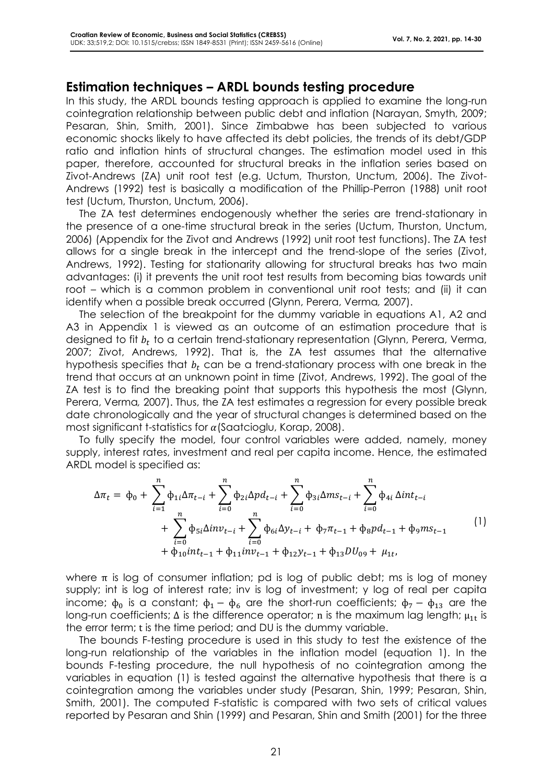### **Estimation techniques – ARDL bounds testing procedure**

In this study, the ARDL bounds testing approach is applied to examine the long-run cointegration relationship between public debt and inflation (Narayan, Smyth, 2009; Pesaran, Shin, Smith, 2001). Since Zimbabwe has been subjected to various economic shocks likely to have affected its debt policies, the trends of its debt/GDP ratio and inflation hints of structural changes. The estimation model used in this paper, therefore, accounted for structural breaks in the inflation series based on Zivot-Andrews (ZA) unit root test (e.g. Uctum, Thurston, Unctum, 2006). The Zivot-Andrews (1992) test is basically a modification of the Phillip-Perron (1988) unit root test (Uctum, Thurston, Unctum, 2006).

The ZA test determines endogenously whether the series are trend-stationary in the presence of a one-time structural break in the series (Uctum, Thurston, Unctum, 2006) (Appendix for the Zivot and Andrews (1992) unit root test functions). The ZA test allows for a single break in the intercept and the trend-slope of the series (Zivot, Andrews, 1992). Testing for stationarity allowing for structural breaks has two main advantages: (i) it prevents the unit root test results from becoming bias towards unit root – which is a common problem in conventional unit root tests; and (ii) it can identify when a possible break occurred (Glynn, Perera, Verma*,* 2007).

The selection of the breakpoint for the dummy variable in equations A1, A2 and A3 in Appendix 1 is viewed as an outcome of an estimation procedure that is designed to fit  $\mathit{b}_{t}$  to a certain trend-stationary representation (Glynn, Perera, Verma, 2007; Zivot, Andrews, 1992). That is, the ZA test assumes that the alternative hypothesis specifies that  $b_t$  can be a trend-stationary process with one break in the trend that occurs at an unknown point in time (Zivot, Andrews, 1992). The goal of the ZA test is to find the breaking point that supports this hypothesis the most (Glynn, Perera, Verma*,* 2007). Thus, the ZA test estimates a regression for every possible break date chronologically and the year of structural changes is determined based on the most significant t-statistics for  $\alpha$  (Saatcioglu, Korap, 2008).

To fully specify the model, four control variables were added, namely, money supply, interest rates, investment and real per capita income. Hence, the estimated ARDL model is specified as:

$$
\Delta \pi_t = \phi_0 + \sum_{i=1}^n \phi_{1i} \Delta \pi_{t-i} + \sum_{i=0}^n \phi_{2i} \Delta p d_{t-i} + \sum_{i=0}^n \phi_{3i} \Delta m s_{t-i} + \sum_{i=0}^n \phi_{4i} \Delta i n t_{t-i} + \sum_{i=0}^n \phi_{5i} \Delta i n v_{t-i} + \sum_{i=0}^n \phi_{6i} \Delta y_{t-i} + \phi_7 \pi_{t-1} + \phi_8 p d_{t-1} + \phi_9 m s_{t-1} + \phi_{10} i n t_{t-1} + \phi_{11} i n v_{t-1} + \phi_{12} y_{t-1} + \phi_{13} D U_{09} + \mu_{1t},
$$
\n
$$
(1)
$$

where  $\pi$  is log of consumer inflation; pd is log of public debt; ms is log of money supply; int is log of interest rate; inv is log of investment; y log of real per capita income;  $\phi_0$  is a constant;  $\phi_1 - \phi_6$  are the short-run coefficients;  $\phi_7 - \phi_{13}$  are the long-run coefficients;  $\Delta$  is the difference operator; n is the maximum lag length;  $\mu_{1t}$  is the error term; t is the time period; and DU is the dummy variable.

The bounds F-testing procedure is used in this study to test the existence of the long-run relationship of the variables in the inflation model (equation 1). In the bounds F-testing procedure, the null hypothesis of no cointegration among the variables in equation (1) is tested against the alternative hypothesis that there is a cointegration among the variables under study (Pesaran, Shin, 1999; Pesaran, Shin, Smith, 2001). The computed F-statistic is compared with two sets of critical values reported by Pesaran and Shin (1999) and Pesaran, Shin and Smith (2001) for the three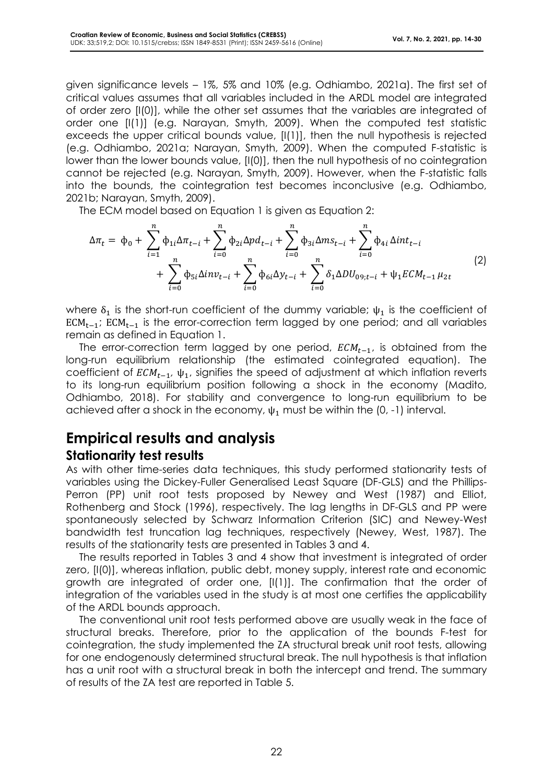given significance levels – 1%, 5% and 10% (e.g. Odhiambo, 2021a). The first set of critical values assumes that all variables included in the ARDL model are integrated of order zero [I(0)], while the other set assumes that the variables are integrated of order one [I(1)] (e.g. Narayan, Smyth, 2009). When the computed test statistic exceeds the upper critical bounds value, [I(1)], then the null hypothesis is rejected (e.g. Odhiambo, 2021a; Narayan, Smyth, 2009). When the computed F-statistic is lower than the lower bounds value, [I(0)], then the null hypothesis of no cointegration cannot be rejected (e.g. Narayan, Smyth, 2009). However, when the F-statistic falls into the bounds, the cointegration test becomes inconclusive (e.g. Odhiambo, 2021b; Narayan, Smyth, 2009).

The ECM model based on Equation 1 is given as Equation 2:

$$
\Delta \pi_t = \phi_0 + \sum_{i=1}^n \phi_{1i} \Delta \pi_{t-i} + \sum_{i=0}^n \phi_{2i} \Delta p d_{t-i} + \sum_{i=0}^n \phi_{3i} \Delta m s_{t-i} + \sum_{i=0}^n \phi_{4i} \Delta i n t_{t-i} + \sum_{i=0}^n \phi_{5i} \Delta i n v_{t-i} + \sum_{i=0}^n \phi_{6i} \Delta y_{t-i} + \sum_{i=0}^n \delta_1 \Delta D U_{09;t-i} + \psi_1 E C M_{t-1} \mu_{2t}
$$
\n(2)

where  $\delta_1$  is the short-run coefficient of the dummy variable;  $\psi_1$  is the coefficient of  $ECM_{t-1}$ ;  $ECM_{t-1}$  is the error-correction term lagged by one period; and all variables remain as defined in Equation 1.

The error-correction term lagged by one period,  $ECM_{t-1}$ , is obtained from the long-run equilibrium relationship (the estimated cointegrated equation). The coefficient of  $ECM_{t-1}$ ,  $\psi_1$ , signifies the speed of adjustment at which inflation reverts to its long-run equilibrium position following a shock in the economy (Madito, Odhiambo, 2018). For stability and convergence to long-run equilibrium to be achieved after a shock in the economy,  $\psi_1$  must be within the (0, -1) interval.

### **Empirical results and analysis Stationarity test results**

As with other time-series data techniques, this study performed stationarity tests of variables using the Dickey-Fuller Generalised Least Square (DF-GLS) and the Phillips-Perron (PP) unit root tests proposed by Newey and West (1987) and Elliot, Rothenberg and Stock (1996), respectively. The lag lengths in DF-GLS and PP were spontaneously selected by Schwarz Information Criterion (SIC) and Newey-West bandwidth test truncation lag techniques, respectively (Newey, West, 1987). The results of the stationarity tests are presented in Tables 3 and 4.

The results reported in Tables 3 and 4 show that investment is integrated of order zero, [I(0)], whereas inflation, public debt, money supply, interest rate and economic growth are integrated of order one, [I(1)]. The confirmation that the order of integration of the variables used in the study is at most one certifies the applicability of the ARDL bounds approach.

The conventional unit root tests performed above are usually weak in the face of structural breaks. Therefore, prior to the application of the bounds F-test for cointegration, the study implemented the ZA structural break unit root tests, allowing for one endogenously determined structural break. The null hypothesis is that inflation has a unit root with a structural break in both the intercept and trend. The summary of results of the ZA test are reported in Table 5.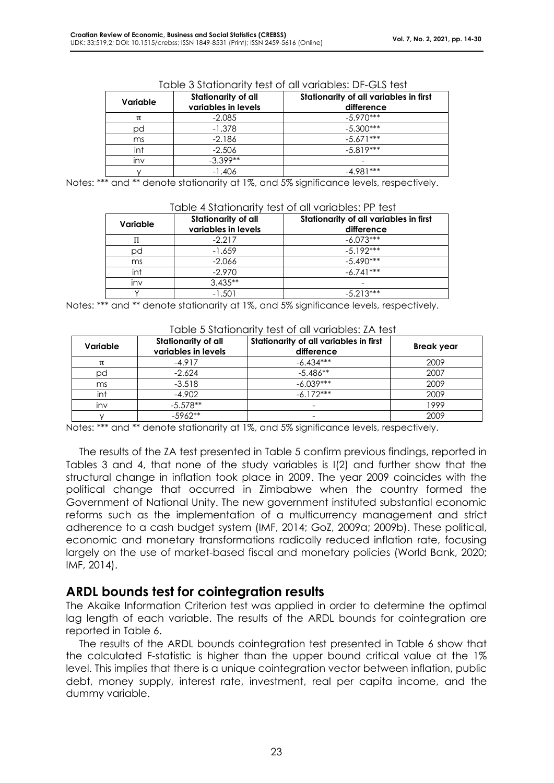| Stationarity of all<br>Variable<br>variables in levels |            | Stationarity of all variables in first<br>difference |  |
|--------------------------------------------------------|------------|------------------------------------------------------|--|
| π                                                      | $-2.085$   | $-5.970***$                                          |  |
| pd                                                     | $-1.378$   | $-5.300***$                                          |  |
| ms                                                     | $-2.186$   | $-5.671***$                                          |  |
| int                                                    | $-2.506$   | $-5.819***$                                          |  |
| inv                                                    | $-3.399**$ |                                                      |  |
|                                                        | $-1.406$   | $-4.981***$                                          |  |

#### Table 3 Stationarity test of all variables: DF-GLS test

Notes: \*\*\* and \*\* denote stationarity at 1%, and 5% significance levels, respectively.

| Variable | Stationarity of all<br>variables in levels | Stationarity of all variables in first<br>difference |
|----------|--------------------------------------------|------------------------------------------------------|
|          | $-2.217$                                   | $-6.073***$                                          |
| pd       | $-1.659$                                   | $-5.192***$                                          |
| ms       | $-2.066$                                   | $-5.490***$                                          |
| int      | $-2.970$                                   | $-6.741***$                                          |
| inv      | $3.435**$                                  |                                                      |
|          | $-1.501$                                   | $-5.213***$                                          |

#### Table 4 Stationarity test of all variables: PP test

Notes: \*\*\* and \*\* denote stationarity at 1%, and 5% significance levels, respectively.

| Variable | Stationarity of all<br>variables in levels | Stationarity of all variables in first<br>difference | <b>Break year</b> |
|----------|--------------------------------------------|------------------------------------------------------|-------------------|
| π        | $-4.917$                                   | $-6.434***$                                          | 2009              |
| pd       | $-2.624$                                   | $-5.486**$                                           | 2007              |
| ms.      | $-3.518$                                   | $-6.039***$                                          | 2009              |
| int      | $-4.902$                                   | $-6.172***$                                          | 2009              |
| inv      | $-5.578**$                                 |                                                      | 1999              |
|          | $-5962**$                                  |                                                      | 2009              |

#### Table 5 Stationarity test of all variables: ZA test

Notes: \*\*\* and \*\* denote stationarity at 1%, and 5% significance levels, respectively.

The results of the ZA test presented in Table 5 confirm previous findings, reported in Tables 3 and 4, that none of the study variables is I(2) and further show that the structural change in inflation took place in 2009. The year 2009 coincides with the political change that occurred in Zimbabwe when the country formed the Government of National Unity. The new government instituted substantial economic reforms such as the implementation of a multicurrency management and strict adherence to a cash budget system (IMF, 2014; GoZ, 2009a; 2009b). These political, economic and monetary transformations radically reduced inflation rate, focusing largely on the use of market-based fiscal and monetary policies (World Bank, 2020; IMF, 2014).

### **ARDL bounds test for cointegration results**

The Akaike Information Criterion test was applied in order to determine the optimal lag length of each variable. The results of the ARDL bounds for cointegration are reported in Table 6.

The results of the ARDL bounds cointegration test presented in Table 6 show that the calculated F-statistic is higher than the upper bound critical value at the 1% level. This implies that there is a unique cointegration vector between inflation, public debt, money supply, interest rate, investment, real per capita income, and the dummy variable.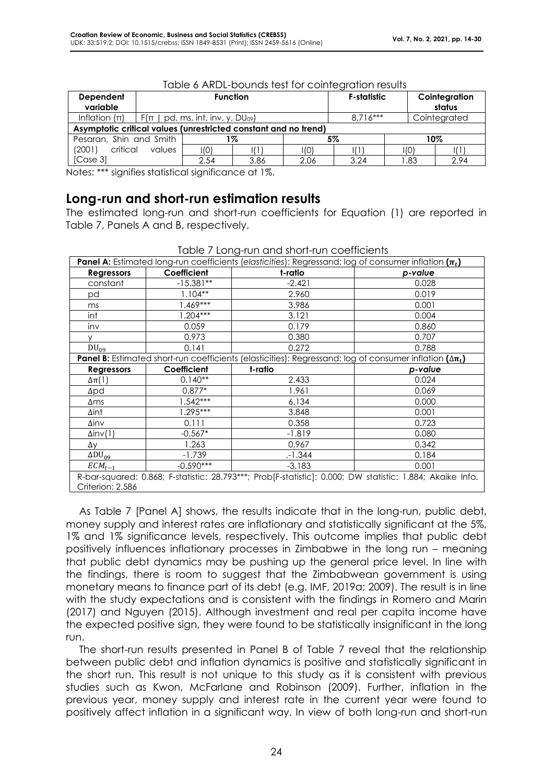| <b>Dependent</b><br>variable |                                                                 | <b>Function</b>                      |      |      | <b>F-statistic</b> |  | Cointegration<br>status |              |
|------------------------------|-----------------------------------------------------------------|--------------------------------------|------|------|--------------------|--|-------------------------|--------------|
| Inflation $(\pi)$            |                                                                 | $F(\pi   pd, ms, int, inv, y, DU09)$ |      |      | $8.716***$         |  |                         | Cointegrated |
|                              | Asymptotic critical values (unrestricted constant and no trend) |                                      |      |      |                    |  |                         |              |
| Pesaran, Shin and Smith      |                                                                 |                                      | 1%   |      | 5%                 |  |                         | 10%          |
| critical<br>(2001)           | values                                                          | I(0)                                 |      | I(O) |                    |  | 1(0)                    |              |
| [Case 3]                     |                                                                 | 2.54                                 | 3.86 | 2.06 | 3.24               |  | 1.83                    | 2.94         |

|  | Table 6 ARDL-bounds test for cointegration results |  |  |  |
|--|----------------------------------------------------|--|--|--|
|--|----------------------------------------------------|--|--|--|

Notes: \*\*\* signifies statistical significance at 1%.

### **Long-run and short-run estimation results**

The estimated long-run and short-run coefficients for Equation (1) are reported in Table 7, Panels A and B, respectively.

| <b>Panel A:</b> Estimated long-run coefficients (elasticities): Regressand: log of consumer inflation $(\pi_t)$               |             |                                                                                                                         |         |  |
|-------------------------------------------------------------------------------------------------------------------------------|-------------|-------------------------------------------------------------------------------------------------------------------------|---------|--|
| <b>Regressors</b>                                                                                                             | Coefficient | t-ratio                                                                                                                 | p-value |  |
| constant                                                                                                                      | $-15.381**$ | $-2.421$                                                                                                                | 0.028   |  |
| pd                                                                                                                            | $1.104**$   | 2.960                                                                                                                   | 0.019   |  |
| ms                                                                                                                            | $1.469***$  | 3.986                                                                                                                   | 0.001   |  |
| int                                                                                                                           | $1.204***$  | 3.121                                                                                                                   | 0.004   |  |
| inv                                                                                                                           | 0.059       | 0.179                                                                                                                   | 0.860   |  |
| V                                                                                                                             | 0.973       | 0.380                                                                                                                   | 0.707   |  |
| $DU_{09}$                                                                                                                     | 0.141       | 0.272                                                                                                                   | 0.788   |  |
|                                                                                                                               |             | <b>Panel B:</b> Estimated short-run coefficients (elasticities): Regressand: log of consumer inflation $(\Delta \pi_t)$ |         |  |
| <b>Regressors</b>                                                                                                             | Coefficient | t-ratio                                                                                                                 | p-value |  |
| $\Delta \pi(1)$                                                                                                               | $0.140**$   | 2.433                                                                                                                   | 0.024   |  |
| $\Delta$ pd                                                                                                                   | $0.877*$    | 1.961                                                                                                                   | 0.069   |  |
| $\Delta$ ms                                                                                                                   | $1.542***$  | 6.134                                                                                                                   | 0.000   |  |
| $\Delta$ int                                                                                                                  | $1.295***$  | 3.848                                                                                                                   | 0.001   |  |
| Δinv                                                                                                                          | 0.111       | 0.358                                                                                                                   | 0.723   |  |
| $\Delta$ inv $(1)$                                                                                                            | $-0.567*$   | $-1.819$                                                                                                                | 0.080   |  |
| Δу                                                                                                                            | 1.263       | 0.967                                                                                                                   | 0.342   |  |
| $\Delta DU_{09}$                                                                                                              | $-1.739$    | ,-1.344                                                                                                                 | 0.184   |  |
| $ECM_{t-1}$                                                                                                                   | $-0.590***$ | $-3.183$                                                                                                                | 0.001   |  |
| R-bar-squared: 0.868; F-statistic: 28.793***; Prob[F-statistic]: 0.000; DW statistic: 1.884; Akaike Info.<br>Criterion: 2.586 |             |                                                                                                                         |         |  |

Table 7 Long-run and short-run coefficients

As Table 7 [Panel A] shows, the results indicate that in the long-run, public debt, money supply and interest rates are inflationary and statistically significant at the 5%, 1% and 1% significance levels, respectively. This outcome implies that public debt positively influences inflationary processes in Zimbabwe in the long run – meaning that public debt dynamics may be pushing up the general price level. In line with the findings, there is room to suggest that the Zimbabwean government is using monetary means to finance part of its debt (e.g. IMF, 2019a; 2009). The result is in line with the study expectations and is consistent with the findings in Romero and Marin (2017) and Nguyen (2015). Although investment and real per capita income have the expected positive sign, they were found to be statistically insignificant in the long run.

The short-run results presented in Panel B of Table 7 reveal that the relationship between public debt and inflation dynamics is positive and statistically significant in the short run. This result is not unique to this study as it is consistent with previous studies such as Kwon, McFarlane and Robinson (2009). Further, inflation in the previous year, money supply and interest rate in the current year were found to positively affect inflation in a significant way. In view of both long-run and short-run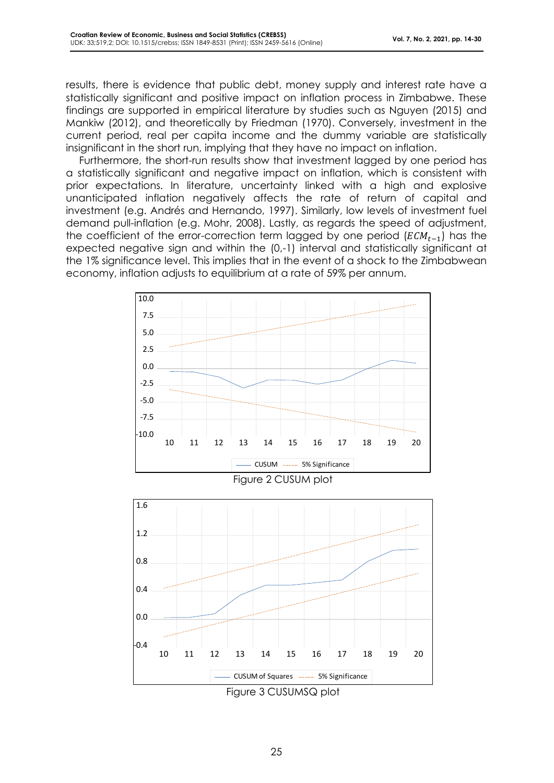results, there is evidence that public debt, money supply and interest rate have a statistically significant and positive impact on inflation process in Zimbabwe. These findings are supported in empirical literature by studies such as Nguyen (2015) and Mankiw (2012), and theoretically by Friedman (1970). Conversely, investment in the current period, real per capita income and the dummy variable are statistically insignificant in the short run, implying that they have no impact on inflation.

Furthermore, the short-run results show that investment lagged by one period has a statistically significant and negative impact on inflation, which is consistent with prior expectations. In literature, uncertainty linked with a high and explosive unanticipated inflation negatively affects the rate of return of capital and investment (e.g. Andrés and Hernando, 1997). Similarly, low levels of investment fuel demand pull-inflation (e.g. Mohr, 2008). Lastly, as regards the speed of adjustment, the coefficient of the error-correction term lagged by one period  $(ECM_{t-1})$  has the expected negative sign and within the (0,-1) interval and statistically significant at the 1% significance level. This implies that in the event of a shock to the Zimbabwean economy, inflation adjusts to equilibrium at a rate of 59% per annum.

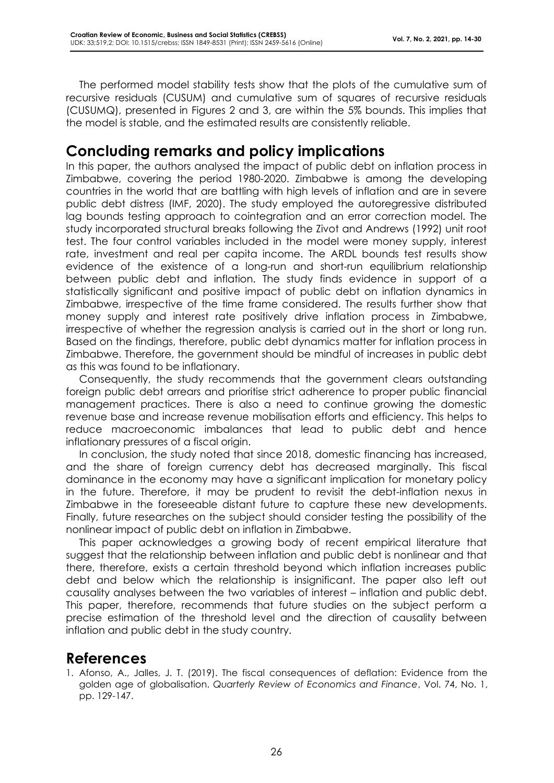The performed model stability tests show that the plots of the cumulative sum of recursive residuals (CUSUM) and cumulative sum of squares of recursive residuals (CUSUMQ), presented in Figures 2 and 3, are within the 5% bounds. This implies that the model is stable, and the estimated results are consistently reliable.

## **Concluding remarks and policy implications**

In this paper, the authors analysed the impact of public debt on inflation process in Zimbabwe, covering the period 1980-2020. Zimbabwe is among the developing countries in the world that are battling with high levels of inflation and are in severe public debt distress (IMF, 2020). The study employed the autoregressive distributed lag bounds testing approach to cointegration and an error correction model. The study incorporated structural breaks following the Zivot and Andrews (1992) unit root test. The four control variables included in the model were money supply, interest rate, investment and real per capita income. The ARDL bounds test results show evidence of the existence of a long-run and short-run equilibrium relationship between public debt and inflation. The study finds evidence in support of a statistically significant and positive impact of public debt on inflation dynamics in Zimbabwe, irrespective of the time frame considered. The results further show that money supply and interest rate positively drive inflation process in Zimbabwe, irrespective of whether the regression analysis is carried out in the short or long run. Based on the findings, therefore, public debt dynamics matter for inflation process in Zimbabwe. Therefore, the government should be mindful of increases in public debt as this was found to be inflationary.

Consequently, the study recommends that the government clears outstanding foreign public debt arrears and prioritise strict adherence to proper public financial management practices. There is also a need to continue growing the domestic revenue base and increase revenue mobilisation efforts and efficiency. This helps to reduce macroeconomic imbalances that lead to public debt and hence inflationary pressures of a fiscal origin.

In conclusion, the study noted that since 2018, domestic financing has increased, and the share of foreign currency debt has decreased marginally. This fiscal dominance in the economy may have a significant implication for monetary policy in the future. Therefore, it may be prudent to revisit the debt-inflation nexus in Zimbabwe in the foreseeable distant future to capture these new developments. Finally, future researches on the subject should consider testing the possibility of the nonlinear impact of public debt on inflation in Zimbabwe.

This paper acknowledges a growing body of recent empirical literature that suggest that the relationship between inflation and public debt is nonlinear and that there, therefore, exists a certain threshold beyond which inflation increases public debt and below which the relationship is insignificant. The paper also left out causality analyses between the two variables of interest – inflation and public debt. This paper, therefore, recommends that future studies on the subject perform a precise estimation of the threshold level and the direction of causality between inflation and public debt in the study country.

## **References**

1. Afonso, A., Jalles, J. T. (2019). The fiscal consequences of deflation: Evidence from the golden age of globalisation. *Quarterly Review of Economics and Finance*, Vol. 74, No. 1, pp. 129-147.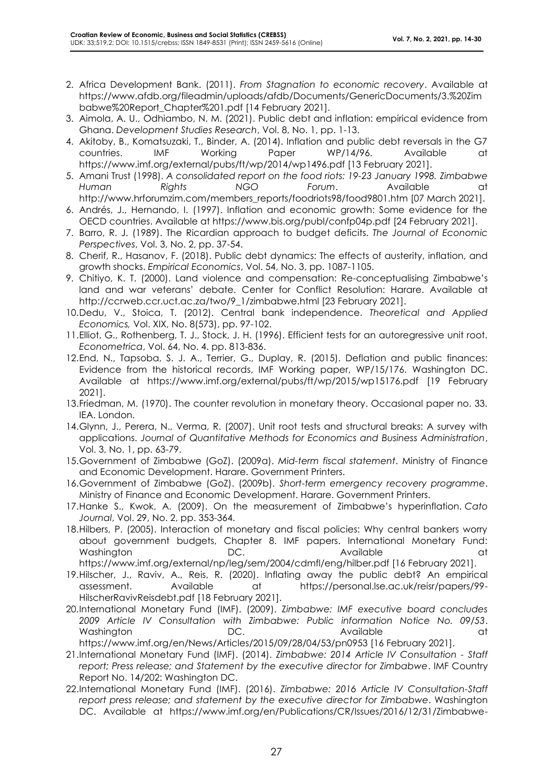- 2. Africa Development Bank. (2011). *From Stagnation to economic recovery*. Available at https://www.afdb.org/fileadmin/uploads/afdb/Documents/GenericDocuments/3.%20Zim babwe%20Report\_Chapter%201.pdf [14 February 2021].
- 3. Aimola, A. U., Odhiambo, N. M. (2021). Public debt and inflation: empirical evidence from Ghana. *Development Studies Research*, Vol. 8, No. 1, pp. 1-13.
- 4. Akitoby, B., Komatsuzaki, T., Binder, A. (2014). Inflation and public debt reversals in the G7 countries. IMF Working Paper WP/14/96. Available at https://www.imf.org/external/pubs/ft/wp/2014/wp1496.pdf [13 February 2021].
- 5. Amani Trust (1998). *A consolidated report on the food riots: 19-23 January 1998. Zimbabwe Human Rights NGO Forum*. Available at http://www.hrforumzim.com/members\_reports/foodriots98/food9801.htm [07 March 2021].
- 6. Andrés, J., Hernando, I. (1997). Inflation and economic growth: Some evidence for the OECD countries. Available at https://www.bis.org/publ/confp04p.pdf [24 February 2021].
- 7. Barro, R. J. (1989). The Ricardian approach to budget deficits. *The Journal of Economic Perspectives*, Vol. 3, No. 2, pp. 37-54.
- 8. Cherif, R., Hasanov, F. (2018). Public debt dynamics: The effects of austerity, inflation, and growth shocks. *Empirical Economics*, Vol. 54, No. 3, pp. 1087-1105.
- 9. Chitiyo, K. T. (2000). Land violence and compensation: Re-conceptualising Zimbabwe's land and war veterans' debate. Center for Conflict Resolution: Harare. Available at http://ccrweb.ccr.uct.ac.za/two/9\_1/zimbabwe.html [23 February 2021].
- 10.Dedu, V., Stoica, T. (2012). Central bank independence. *Theoretical and Applied Economics,* Vol. XIX, No. 8(573), pp. 97-102.
- 11.Elliot, G., Rothenberg, T. J., Stock, J. H. (1996). Efficient tests for an autoregressive unit root. *Econometrica*, Vol. 64, No. 4. pp. 813-836.
- 12.End, N., Tapsoba, S. J. A., Terrier, G., Duplay, R. (2015). Deflation and public finances: Evidence from the historical records, IMF Working paper, WP/15/176. Washington DC. Available at https://www.imf.org/external/pubs/ft/wp/2015/wp15176.pdf [19 February 2021].
- 13.Friedman, M. (1970). The counter revolution in monetary theory. Occasional paper no. 33. IEA. London.
- 14.Glynn, J., Perera, N., Verma, R. (2007). Unit root tests and structural breaks: A survey with applications. *Journal of Quantitative Methods for Economics and Business Administration*, Vol. 3, No. 1, pp. 63-79.
- 15.Government of Zimbabwe (GoZ). (2009a). *Mid-term fiscal statement*. Ministry of Finance and Economic Development. Harare. Government Printers.
- 16.Government of Zimbabwe (GoZ). (2009b). *Short-term emergency recovery programme*. Ministry of Finance and Economic Development. Harare. Government Printers.
- 17.Hanke S., Kwok, A. (2009). On the measurement of Zimbabwe's hyperinflation. *Cato Journal*, Vol. 29, No. 2, pp. 353-364.
- 18.Hilbers, P. (2005). Interaction of monetary and fiscal policies: Why central bankers worry about government budgets, Chapter 8. IMF papers. International Monetary Fund: Washington DC. Available at

https://www.imf.org/external/np/leg/sem/2004/cdmfl/eng/hilber.pdf [16 February 2021].

- 19.Hilscher, J., Raviv, A., Reis, R. (2020). Inflating away the public debt? An empirical assessment. Available at https://personal.lse.ac.uk/reisr/papers/99- HilscherRavivReisdebt.pdf [18 February 2021].
- 20.International Monetary Fund (IMF). (2009). Z*imbabwe: IMF executive board concludes 2009 Article IV Consultation with Zimbabwe: Public information Notice No. 09/53*. Washington **DC.** DC. Available at the at https://www.imf.org/en/News/Articles/2015/09/28/04/53/pn0953 [16 February 2021].
- 21.International Monetary Fund (IMF). (2014). *Zimbabwe: 2014 Article IV Consultation - Staff report; Press release; and Statement by the executive director for Zimbabwe*. IMF Country Report No. 14/202: Washington DC.
- 22.International Monetary Fund (IMF). (2016). *Zimbabwe: 2016 Article IV Consultation-Staff report press release; and statement by the executive director for Zimbabwe*. Washington DC. Available at https://www.imf.org/en/Publications/CR/Issues/2016/12/31/Zimbabwe-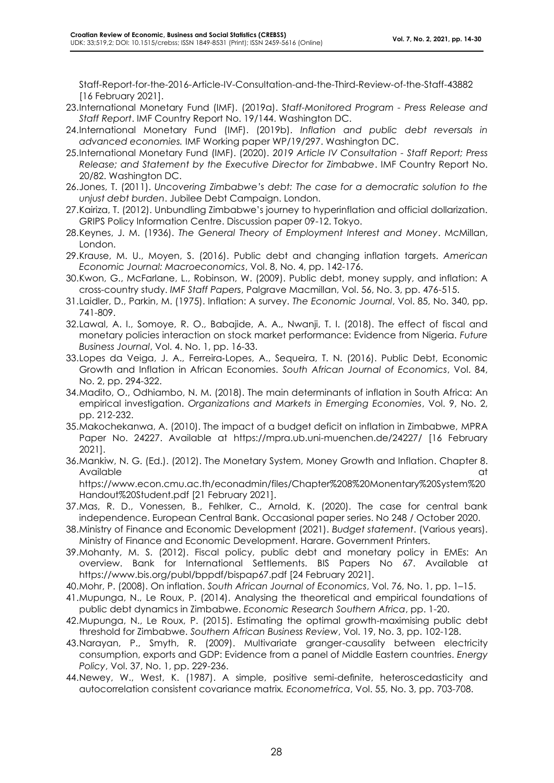Staff-Report-for-the-2016-Article-IV-Consultation-and-the-Third-Review-of-the-Staff-43882 [16 February 2021].

- 23.International Monetary Fund (IMF). (2019a). S*taff-Monitored Program - Press Release and Staff Report*. IMF Country Report No. 19/144. Washington DC.
- 24.International Monetary Fund (IMF). (2019b). *Inflation and public debt reversals in advanced economies.* IMF Working paper WP/19/297. Washington DC.
- 25.International Monetary Fund (IMF). (2020). *2019 Article IV Consultation - Staff Report; Press Release; and Statement by the Executive Director for Zimbabwe*. IMF Country Report No. 20/82. Washington DC.
- 26.Jones, T. (2011). *Uncovering Zimbabwe's debt: The case for a democratic solution to the unjust debt burden*. Jubilee Debt Campaign. London.
- 27.Kairiza, T. (2012). Unbundling Zimbabwe's journey to hyperinflation and official dollarization. GRIPS Policy Information Centre. Discussion paper 09-12. Tokyo.
- 28.Keynes, J. M. (1936). *The General Theory of Employment Interest and Money*. McMillan, London.
- 29.Krause, M. U., Moyen, S. (2016). Public debt and changing inflation targets. *American Economic Journal: Macroeconomics*, Vol. 8, No. 4, pp. 142-176.
- 30.Kwon, G., McFarlane, L., Robinson, W. (2009). Public debt, money supply, and inflation: A cross-country study. *IMF Staff Papers*, Palgrave Macmillan, Vol. 56, No. 3, pp. 476-515.
- 31.Laidler, D., Parkin, M. (1975). Inflation: A survey. *The Economic Journal*, Vol. 85, No. 340, pp. 741-809.
- 32.Lawal, A. I., Somoye, R. O., Babajide, A. A., Nwanji, T. I. (2018). The effect of fiscal and monetary policies interaction on stock market performance: Evidence from Nigeria. *Future Business Journal*, Vol. 4. No. 1, pp. 16-33.
- 33.Lopes da Veiga, J. A., Ferreira‐Lopes, A., Sequeira, T. N. (2016). Public Debt, Economic Growth and Inflation in African Economies. *South African Journal of Economics*, Vol. 84, No. 2, pp. 294-322.
- 34.Madito, O., Odhiambo, N. M. (2018). The main determinants of inflation in South Africa: An empirical investigation. *Organizations and Markets in Emerging Economies*, Vol. 9, No. 2, pp. 212-232.
- 35.Makochekanwa, A. (2010). The impact of a budget deficit on inflation in Zimbabwe, MPRA Paper No. 24227. Available at https://mpra.ub.uni-muenchen.de/24227/ [16 February 2021].
- 36.Mankiw, N. G. (Ed.). (2012). The Monetary System, Money Growth and Inflation. Chapter 8. Available at the contract of the contract of the contract of the contract of the contract of the contract of the contract of the contract of the contract of the contract of the contract of the contract of the contract of t

https://www.econ.cmu.ac.th/econadmin/files/Chapter%208%20Monentary%20System%20 Handout%20Student.pdf [21 February 2021].

- 37.Mas, R. D., Vonessen, B., Fehlker, C., Arnold, K. (2020). The case for central bank independence. European Central Bank. Occasional paper series. No 248 / October 2020.
- 38.Ministry of Finance and Economic Development (2021). *Budget statement*. (Various years). Ministry of Finance and Economic Development. Harare. Government Printers.
- 39.Mohanty, M. S. (2012). Fiscal policy, public debt and monetary policy in EMEs: An overview. Bank for International Settlements. BIS Papers No 67. Available at https://www.bis.org/publ/bppdf/bispap67.pdf [24 February 2021].
- 40.Mohr, P. (2008). On inflation. *South African Journal of Economics*, Vol. 76, No. 1, pp. 1–15.
- 41.Mupunga, N., Le Roux, P. (2014). Analysing the theoretical and empirical foundations of public debt dynamics in Zimbabwe. *Economic Research Southern Africa*, pp. 1-20.
- 42.Mupunga, N., Le Roux, P. (2015). Estimating the optimal growth-maximising public debt threshold for Zimbabwe. *Southern African Business Review*, Vol. 19, No. 3, pp. 102-128.
- 43.Narayan, P., Smyth, R. (2009). Multivariate granger-causality between electricity consumption, exports and GDP: Evidence from a panel of Middle Eastern countries. *Energy Policy*, Vol. 37, No. 1, pp. 229-236.
- 44.Newey, W., West, K. (1987). A simple, positive semi-definite, heteroscedasticity and autocorrelation consistent covariance matrix*. Econometrica*, Vol. 55, No. 3, pp. 703-708.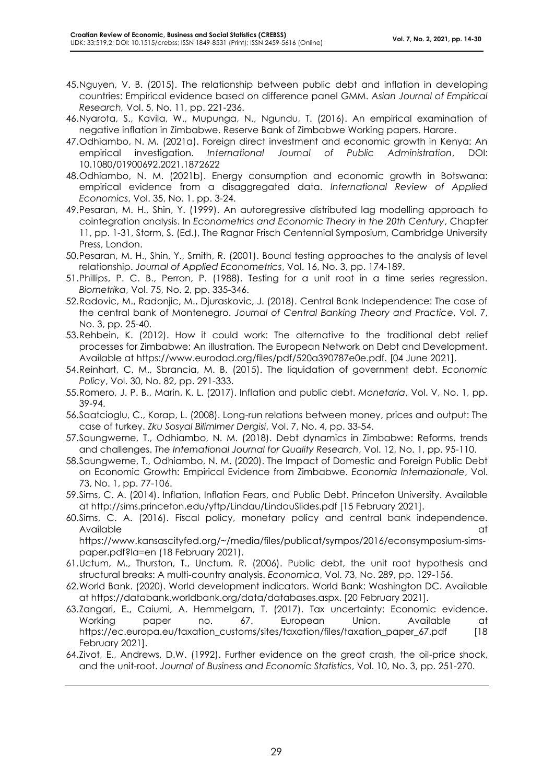- 45.Nguyen, V. B. (2015). The relationship between public debt and inflation in developing countries: Empirical evidence based on difference panel GMM. *Asian Journal of Empirical Research,* Vol. 5, No. 11, pp. 221-236.
- 46.Nyarota, S., Kavila, W., Mupunga, N., Ngundu, T. (2016). An empirical examination of negative inflation in Zimbabwe. Reserve Bank of Zimbabwe Working papers. Harare.
- 47.Odhiambo, N. M. (2021a). Foreign direct investment and economic growth in Kenya: An empirical investigation. *International Journal of Public Administration*, DOI: 10.1080/01900692.2021.1872622
- 48.Odhiambo, N. M. (2021b). Energy consumption and economic growth in Botswana: empirical evidence from a disaggregated data. *International Review of Applied Economics*, Vol. 35, No. 1. pp. 3-24.
- 49.Pesaran, M. H., Shin, Y. (1999). An autoregressive distributed lag modelling approach to cointegration analysis. In *Econometrics and Economic Theory in the 20th Century*, Chapter 11, pp. 1-31, Storm, S. (Ed.), The Ragnar Frisch Centennial Symposium, Cambridge University Press, London.
- 50.Pesaran, M. H., Shin, Y., Smith, R. (2001). Bound testing approaches to the analysis of level relationship. *Journal of Applied Econometrics*, Vol. 16, No. 3, pp. 174-189.
- 51.Phillips, P. C. B., Perron, P. (1988). Testing for a unit root in a time series regression. *Biometrika*, Vol. 75, No. 2, pp. 335-346.
- 52.Radovic, M., Radonjic, M., Djuraskovic, J. (2018). Central Bank Independence: The case of the central bank of Montenegro. *Journal of Central Banking Theory and Practice*, Vol. 7, No. 3, pp. 25-40.
- 53.Rehbein, K. (2012). How it could work: The alternative to the traditional debt relief processes for Zimbabwe: An illustration. The European Network on Debt and Development. Available at https://www.eurodad.org/files/pdf/520a390787e0e.pdf. [04 June 2021].
- 54.Reinhart, C. M., Sbrancia, M. B. (2015). The liquidation of government debt. *Economic Policy*, Vol. 30, No. 82, pp. 291-333.
- 55.Romero, J. P. B., Marin, K. L. (2017). Inflation and public debt. *Monetaria*, Vol. V, No. 1, pp. 39-94.
- 56.Saatcioglu, C., Korap, L. (2008). Long-run relations between money, prices and output: The case of turkey. *Zku Sosyal Bilimlmer Dergisi*, Vol. 7, No. 4, pp. 33-54.
- 57.Saungweme, T., Odhiambo, N. M. (2018). Debt dynamics in Zimbabwe: Reforms, trends and challenges. *The International Journal for Quality Research*, Vol. 12, No. 1, pp. 95-110.
- 58.Saungweme, T., Odhiambo, N. M. (2020). The Impact of Domestic and Foreign Public Debt on Economic Growth: Empirical Evidence from Zimbabwe. *Economia Internazionale*, Vol. 73, No. 1, pp. 77-106.
- 59.Sims, C. A. (2014). Inflation, Inflation Fears, and Public Debt. Princeton University. Available at http://sims.princeton.edu/yftp/Lindau/LindauSlides.pdf [15 February 2021].
- 60.Sims, C. A. (2016). Fiscal policy, monetary policy and central bank independence. Available at the contract of the contract of the contract of the contract of the contract of the contract of the contract of the contract of the contract of the contract of the contract of the contract of the contract of t https://www.kansascityfed.org/~/media/files/publicat/sympos/2016/econsymposium-sims-
- paper.pdf?la=en (18 February 2021). 61.Uctum, M., Thurston, T., Unctum. R. (2006). Public debt, the unit root hypothesis and structural breaks: A multi-country analysis. *Economica*, Vol. 73, No. 289, pp. 129-156.
- 62.World Bank. (2020). World development indicators. World Bank: Washington DC. Available at https://databank.worldbank.org/data/databases.aspx. [20 February 2021].
- 63.Zangari, E., Caiumi, A. Hemmelgarn, T. (2017). Tax uncertainty: Economic evidence. Working paper no. 67. European Union. Available at https://ec.europa.eu/taxation\_customs/sites/taxation/files/taxation\_paper\_67.pdf [18 February 2021].
- 64.Zivot, E., Andrews, D.W. (1992). Further evidence on the great crash, the oil-price shock, and the unit-root. *Journal of Business and Economic Statistics*, Vol. 10, No. 3, pp. 251-270.